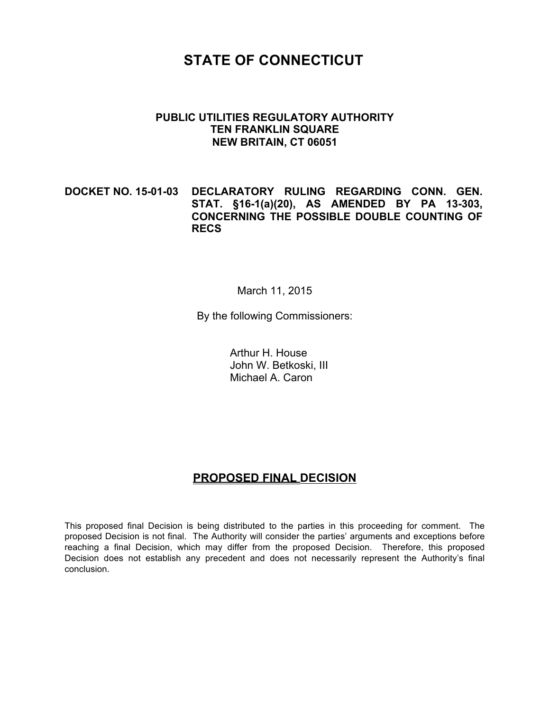# **STATE OF CONNECTICUT**

#### **PUBLIC UTILITIES REGULATORY AUTHORITY TEN FRANKLIN SQUARE NEW BRITAIN, CT 06051**

## **DOCKET NO. 15-01-03 DECLARATORY RULING REGARDING CONN. GEN. STAT. §16-1(a)(20), AS AMENDED BY PA 13-303, CONCERNING THE POSSIBLE DOUBLE COUNTING OF RECS**

#### March 11, 2015

By the following Commissioners:

Arthur H. House John W. Betkoski, III Michael A. Caron

## **PROPOSED FINAL DECISION**

This proposed final Decision is being distributed to the parties in this proceeding for comment. The proposed Decision is not final. The Authority will consider the parties' arguments and exceptions before reaching a final Decision, which may differ from the proposed Decision. Therefore, this proposed Decision does not establish any precedent and does not necessarily represent the Authority's final conclusion.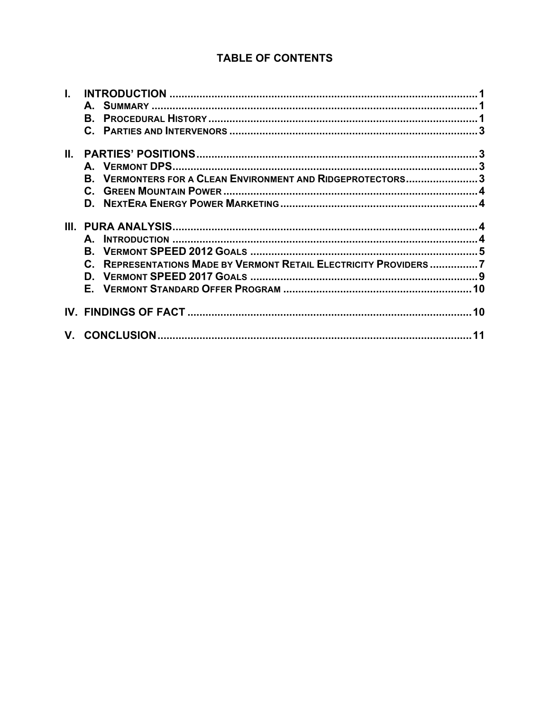## **TABLE OF CONTENTS**

| Ш.   |                                                                   |  |
|------|-------------------------------------------------------------------|--|
|      |                                                                   |  |
|      | B. VERMONTERS FOR A CLEAN ENVIRONMENT AND RIDGEPROTECTORS3        |  |
|      |                                                                   |  |
|      |                                                                   |  |
| III. |                                                                   |  |
|      |                                                                   |  |
|      | A.                                                                |  |
|      |                                                                   |  |
|      |                                                                   |  |
|      | C. REPRESENTATIONS MADE BY VERMONT RETAIL ELECTRICITY PROVIDERS 7 |  |
|      |                                                                   |  |
|      |                                                                   |  |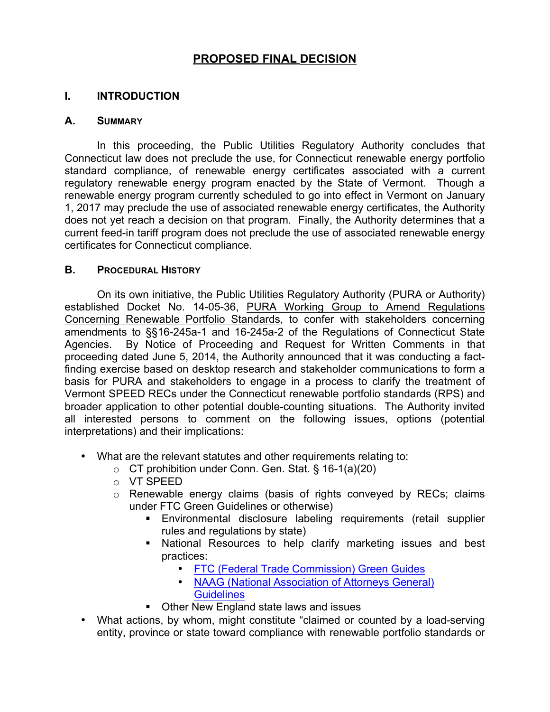## **PROPOSED FINAL DECISION**

## **I. INTRODUCTION**

#### **A. SUMMARY**

In this proceeding, the Public Utilities Regulatory Authority concludes that Connecticut law does not preclude the use, for Connecticut renewable energy portfolio standard compliance, of renewable energy certificates associated with a current regulatory renewable energy program enacted by the State of Vermont. Though a renewable energy program currently scheduled to go into effect in Vermont on January 1, 2017 may preclude the use of associated renewable energy certificates, the Authority does not yet reach a decision on that program. Finally, the Authority determines that a current feed-in tariff program does not preclude the use of associated renewable energy certificates for Connecticut compliance.

#### **B. PROCEDURAL HISTORY**

On its own initiative, the Public Utilities Regulatory Authority (PURA or Authority) established Docket No. 14-05-36, PURA Working Group to Amend Regulations Concerning Renewable Portfolio Standards, to confer with stakeholders concerning amendments to §§16-245a-1 and 16-245a-2 of the Regulations of Connecticut State Agencies. By Notice of Proceeding and Request for Written Comments in that proceeding dated June 5, 2014, the Authority announced that it was conducting a factfinding exercise based on desktop research and stakeholder communications to form a basis for PURA and stakeholders to engage in a process to clarify the treatment of Vermont SPEED RECs under the Connecticut renewable portfolio standards (RPS) and broader application to other potential double-counting situations. The Authority invited all interested persons to comment on the following issues, options (potential interpretations) and their implications:

- What are the relevant statutes and other requirements relating to:
	- o CT prohibition under Conn. Gen. Stat. § 16-1(a)(20)
	- o VT SPEED
	- o Renewable energy claims (basis of rights conveyed by RECs; claims under FTC Green Guidelines or otherwise)
		- § Environmental disclosure labeling requirements (retail supplier rules and regulations by state)
		- National Resources to help clarify marketing issues and best practices:
			- FTC (Federal Trade Commission) Green Guides
			- NAAG (National Association of Attorneys General) **Guidelines**
		- Other New England state laws and issues
- What actions, by whom, might constitute "claimed or counted by a load-serving entity, province or state toward compliance with renewable portfolio standards or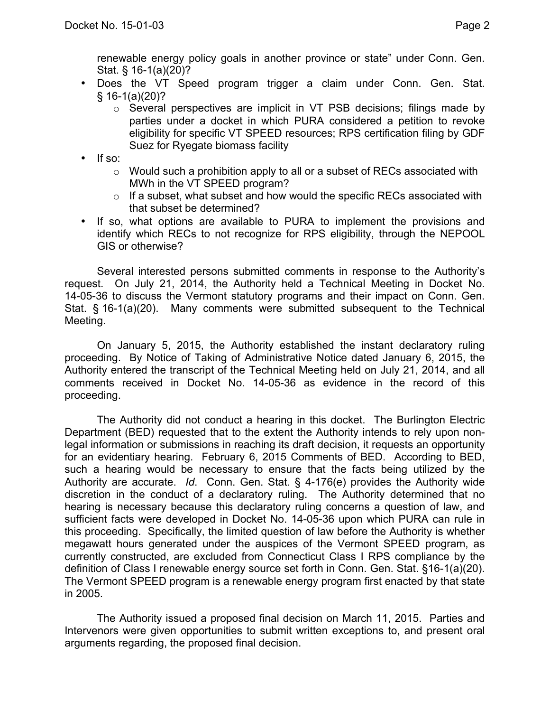renewable energy policy goals in another province or state" under Conn. Gen. Stat. § 16-1(a)(20)?

- Does the VT Speed program trigger a claim under Conn. Gen. Stat.  $§ 16-1(a)(20)?$ 
	- o Several perspectives are implicit in VT PSB decisions; filings made by parties under a docket in which PURA considered a petition to revoke eligibility for specific VT SPEED resources; RPS certification filing by GDF Suez for Ryegate biomass facility
- If so:
	- $\circ$  Would such a prohibition apply to all or a subset of RECs associated with MWh in the VT SPEED program?
	- $\circ$  If a subset, what subset and how would the specific RECs associated with that subset be determined?
- If so, what options are available to PURA to implement the provisions and identify which RECs to not recognize for RPS eligibility, through the NEPOOL GIS or otherwise?

Several interested persons submitted comments in response to the Authority's request. On July 21, 2014, the Authority held a Technical Meeting in Docket No. 14-05-36 to discuss the Vermont statutory programs and their impact on Conn. Gen. Stat. § 16-1(a)(20). Many comments were submitted subsequent to the Technical Meeting.

On January 5, 2015, the Authority established the instant declaratory ruling proceeding. By Notice of Taking of Administrative Notice dated January 6, 2015, the Authority entered the transcript of the Technical Meeting held on July 21, 2014, and all comments received in Docket No. 14-05-36 as evidence in the record of this proceeding.

The Authority did not conduct a hearing in this docket. The Burlington Electric Department (BED) requested that to the extent the Authority intends to rely upon nonlegal information or submissions in reaching its draft decision, it requests an opportunity for an evidentiary hearing. February 6, 2015 Comments of BED. According to BED, such a hearing would be necessary to ensure that the facts being utilized by the Authority are accurate. *Id*. Conn. Gen. Stat. § 4-176(e) provides the Authority wide discretion in the conduct of a declaratory ruling. The Authority determined that no hearing is necessary because this declaratory ruling concerns a question of law, and sufficient facts were developed in Docket No. 14-05-36 upon which PURA can rule in this proceeding. Specifically, the limited question of law before the Authority is whether megawatt hours generated under the auspices of the Vermont SPEED program, as currently constructed, are excluded from Connecticut Class I RPS compliance by the definition of Class I renewable energy source set forth in Conn. Gen. Stat. §16-1(a)(20). The Vermont SPEED program is a renewable energy program first enacted by that state in 2005.

The Authority issued a proposed final decision on March 11, 2015. Parties and Intervenors were given opportunities to submit written exceptions to, and present oral arguments regarding, the proposed final decision.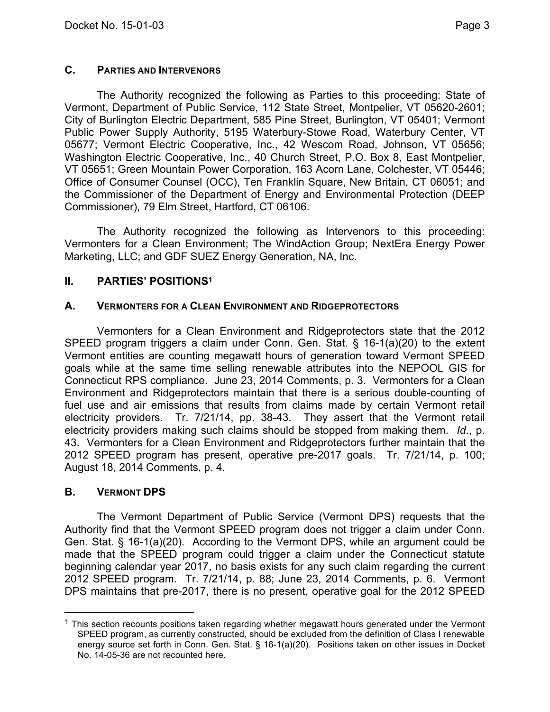## **C. PARTIES AND INTERVENORS**

The Authority recognized the following as Parties to this proceeding: State of Vermont, Department of Public Service, 112 State Street, Montpelier, VT 05620-2601; City of Burlington Electric Department, 585 Pine Street, Burlington, VT 05401; Vermont Public Power Supply Authority, 5195 Waterbury-Stowe Road, Waterbury Center, VT 05677; Vermont Electric Cooperative, Inc., 42 Wescom Road, Johnson, VT 05656; Washington Electric Cooperative, Inc., 40 Church Street, P.O. Box 8, East Montpelier, VT 05651; Green Mountain Power Corporation, 163 Acorn Lane, Colchester, VT 05446; Office of Consumer Counsel (OCC), Ten Franklin Square, New Britain, CT 06051; and the Commissioner of the Department of Energy and Environmental Protection (DEEP Commissioner), 79 Elm Street, Hartford, CT 06106.

The Authority recognized the following as Intervenors to this proceeding: Vermonters for a Clean Environment; The WindAction Group; NextEra Energy Power Marketing, LLC; and GDF SUEZ Energy Generation, NA, Inc.

## **II. PARTIES' POSITIONS1**

## **A. VERMONTERS FOR A CLEAN ENVIRONMENT AND RIDGEPROTECTORS**

Vermonters for a Clean Environment and Ridgeprotectors state that the 2012 SPEED program triggers a claim under Conn. Gen. Stat. § 16-1(a)(20) to the extent Vermont entities are counting megawatt hours of generation toward Vermont SPEED goals while at the same time selling renewable attributes into the NEPOOL GIS for Connecticut RPS compliance. June 23, 2014 Comments, p. 3. Vermonters for a Clean Environment and Ridgeprotectors maintain that there is a serious double-counting of fuel use and air emissions that results from claims made by certain Vermont retail electricity providers. Tr. 7/21/14, pp. 38-43. They assert that the Vermont retail electricity providers making such claims should be stopped from making them. *Id*., p. 43. Vermonters for a Clean Environment and Ridgeprotectors further maintain that the 2012 SPEED program has present, operative pre-2017 goals. Tr. 7/21/14, p. 100; August 18, 2014 Comments, p. 4.

## **B. VERMONT DPS**

The Vermont Department of Public Service (Vermont DPS) requests that the Authority find that the Vermont SPEED program does not trigger a claim under Conn. Gen. Stat. § 16-1(a)(20). According to the Vermont DPS, while an argument could be made that the SPEED program could trigger a claim under the Connecticut statute beginning calendar year 2017, no basis exists for any such claim regarding the current 2012 SPEED program. Tr. 7/21/14, p. 88; June 23, 2014 Comments, p. 6. Vermont DPS maintains that pre-2017, there is no present, operative goal for the 2012 SPEED

 $<sup>1</sup>$  This section recounts positions taken regarding whether megawatt hours generated under the Vermont</sup> SPEED program, as currently constructed, should be excluded from the definition of Class I renewable energy source set forth in Conn. Gen. Stat. § 16-1(a)(20). Positions taken on other issues in Docket No. 14-05-36 are not recounted here.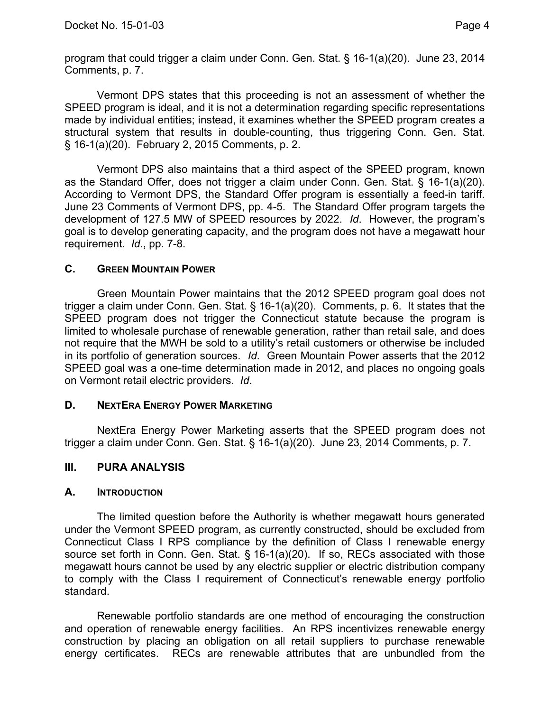program that could trigger a claim under Conn. Gen. Stat. § 16-1(a)(20). June 23, 2014 Comments, p. 7.

Vermont DPS states that this proceeding is not an assessment of whether the SPEED program is ideal, and it is not a determination regarding specific representations made by individual entities; instead, it examines whether the SPEED program creates a structural system that results in double-counting, thus triggering Conn. Gen. Stat. § 16-1(a)(20). February 2, 2015 Comments, p. 2.

Vermont DPS also maintains that a third aspect of the SPEED program, known as the Standard Offer, does not trigger a claim under Conn. Gen. Stat. § 16-1(a)(20). According to Vermont DPS, the Standard Offer program is essentially a feed-in tariff. June 23 Comments of Vermont DPS, pp. 4-5. The Standard Offer program targets the development of 127.5 MW of SPEED resources by 2022. *Id*. However, the program's goal is to develop generating capacity, and the program does not have a megawatt hour requirement. *Id*., pp. 7-8.

## **C. GREEN MOUNTAIN POWER**

Green Mountain Power maintains that the 2012 SPEED program goal does not trigger a claim under Conn. Gen. Stat. § 16-1(a)(20). Comments, p. 6. It states that the SPEED program does not trigger the Connecticut statute because the program is limited to wholesale purchase of renewable generation, rather than retail sale, and does not require that the MWH be sold to a utility's retail customers or otherwise be included in its portfolio of generation sources. *Id*. Green Mountain Power asserts that the 2012 SPEED goal was a one-time determination made in 2012, and places no ongoing goals on Vermont retail electric providers. *Id*.

## **D. NEXTERA ENERGY POWER MARKETING**

NextEra Energy Power Marketing asserts that the SPEED program does not trigger a claim under Conn. Gen. Stat. § 16-1(a)(20). June 23, 2014 Comments, p. 7.

## **III. PURA ANALYSIS**

## **A. INTRODUCTION**

The limited question before the Authority is whether megawatt hours generated under the Vermont SPEED program, as currently constructed, should be excluded from Connecticut Class I RPS compliance by the definition of Class I renewable energy source set forth in Conn. Gen. Stat. § 16-1(a)(20). If so, RECs associated with those megawatt hours cannot be used by any electric supplier or electric distribution company to comply with the Class I requirement of Connecticut's renewable energy portfolio standard.

Renewable portfolio standards are one method of encouraging the construction and operation of renewable energy facilities. An RPS incentivizes renewable energy construction by placing an obligation on all retail suppliers to purchase renewable energy certificates. RECs are renewable attributes that are unbundled from the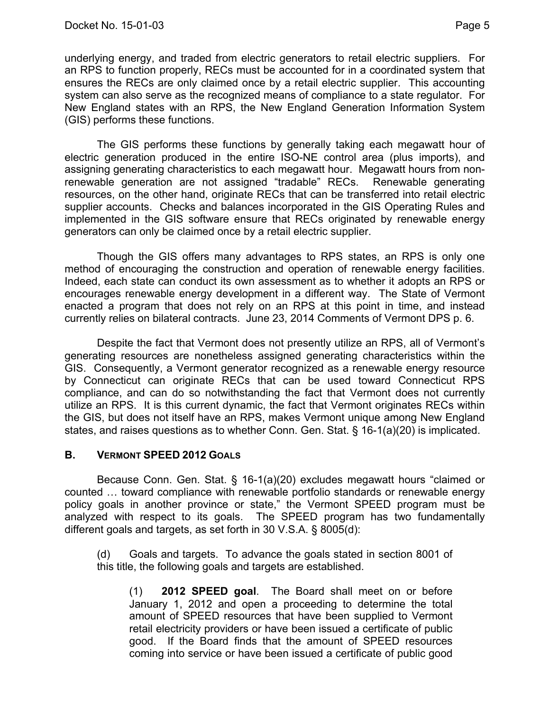underlying energy, and traded from electric generators to retail electric suppliers. For an RPS to function properly, RECs must be accounted for in a coordinated system that ensures the RECs are only claimed once by a retail electric supplier. This accounting system can also serve as the recognized means of compliance to a state regulator. For New England states with an RPS, the New England Generation Information System (GIS) performs these functions.

The GIS performs these functions by generally taking each megawatt hour of electric generation produced in the entire ISO-NE control area (plus imports), and assigning generating characteristics to each megawatt hour. Megawatt hours from nonrenewable generation are not assigned "tradable" RECs. Renewable generating resources, on the other hand, originate RECs that can be transferred into retail electric supplier accounts. Checks and balances incorporated in the GIS Operating Rules and implemented in the GIS software ensure that RECs originated by renewable energy generators can only be claimed once by a retail electric supplier.

Though the GIS offers many advantages to RPS states, an RPS is only one method of encouraging the construction and operation of renewable energy facilities. Indeed, each state can conduct its own assessment as to whether it adopts an RPS or encourages renewable energy development in a different way. The State of Vermont enacted a program that does not rely on an RPS at this point in time, and instead currently relies on bilateral contracts. June 23, 2014 Comments of Vermont DPS p. 6.

Despite the fact that Vermont does not presently utilize an RPS, all of Vermont's generating resources are nonetheless assigned generating characteristics within the GIS. Consequently, a Vermont generator recognized as a renewable energy resource by Connecticut can originate RECs that can be used toward Connecticut RPS compliance, and can do so notwithstanding the fact that Vermont does not currently utilize an RPS. It is this current dynamic, the fact that Vermont originates RECs within the GIS, but does not itself have an RPS, makes Vermont unique among New England states, and raises questions as to whether Conn. Gen. Stat. § 16-1(a)(20) is implicated.

## **B. VERMONT SPEED 2012 GOALS**

Because Conn. Gen. Stat. § 16-1(a)(20) excludes megawatt hours "claimed or counted … toward compliance with renewable portfolio standards or renewable energy policy goals in another province or state," the Vermont SPEED program must be analyzed with respect to its goals. The SPEED program has two fundamentally different goals and targets, as set forth in 30 V.S.A. § 8005(d):

(d) Goals and targets. To advance the goals stated in section 8001 of this title, the following goals and targets are established.

(1) **2012 SPEED goal**. The Board shall meet on or before January 1, 2012 and open a proceeding to determine the total amount of SPEED resources that have been supplied to Vermont retail electricity providers or have been issued a certificate of public good. If the Board finds that the amount of SPEED resources coming into service or have been issued a certificate of public good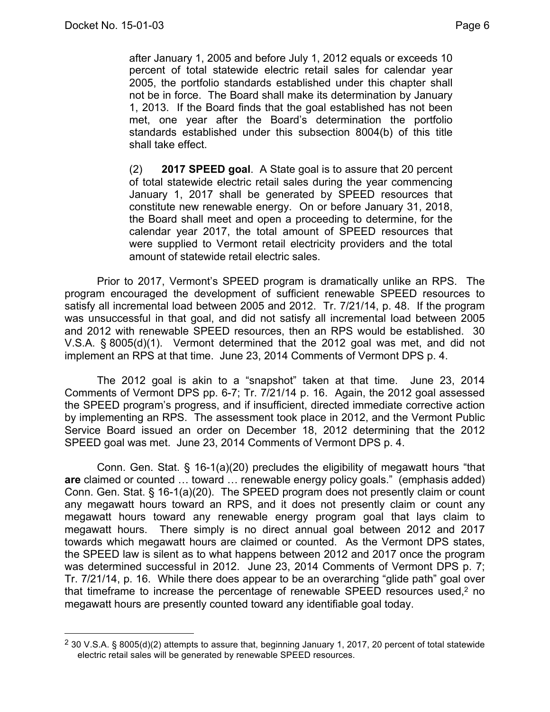after January 1, 2005 and before July 1, 2012 equals or exceeds 10 percent of total statewide electric retail sales for calendar year 2005, the portfolio standards established under this chapter shall not be in force. The Board shall make its determination by January 1, 2013. If the Board finds that the goal established has not been met, one year after the Board's determination the portfolio standards established under this subsection 8004(b) of this title shall take effect.

(2) **2017 SPEED goal**. A State goal is to assure that 20 percent of total statewide electric retail sales during the year commencing January 1, 2017 shall be generated by SPEED resources that constitute new renewable energy. On or before January 31, 2018, the Board shall meet and open a proceeding to determine, for the calendar year 2017, the total amount of SPEED resources that were supplied to Vermont retail electricity providers and the total amount of statewide retail electric sales.

Prior to 2017, Vermont's SPEED program is dramatically unlike an RPS. The program encouraged the development of sufficient renewable SPEED resources to satisfy all incremental load between 2005 and 2012. Tr. 7/21/14, p. 48. If the program was unsuccessful in that goal, and did not satisfy all incremental load between 2005 and 2012 with renewable SPEED resources, then an RPS would be established. 30 V.S.A. § 8005(d)(1). Vermont determined that the 2012 goal was met, and did not implement an RPS at that time. June 23, 2014 Comments of Vermont DPS p. 4.

The 2012 goal is akin to a "snapshot" taken at that time. June 23, 2014 Comments of Vermont DPS pp. 6-7; Tr. 7/21/14 p. 16. Again, the 2012 goal assessed the SPEED program's progress, and if insufficient, directed immediate corrective action by implementing an RPS. The assessment took place in 2012, and the Vermont Public Service Board issued an order on December 18, 2012 determining that the 2012 SPEED goal was met. June 23, 2014 Comments of Vermont DPS p. 4.

Conn. Gen. Stat. § 16-1(a)(20) precludes the eligibility of megawatt hours "that **are** claimed or counted … toward … renewable energy policy goals." (emphasis added) Conn. Gen. Stat. § 16-1(a)(20). The SPEED program does not presently claim or count any megawatt hours toward an RPS, and it does not presently claim or count any megawatt hours toward any renewable energy program goal that lays claim to megawatt hours. There simply is no direct annual goal between 2012 and 2017 towards which megawatt hours are claimed or counted. As the Vermont DPS states, the SPEED law is silent as to what happens between 2012 and 2017 once the program was determined successful in 2012. June 23, 2014 Comments of Vermont DPS p. 7; Tr. 7/21/14, p. 16. While there does appear to be an overarching "glide path" goal over that timeframe to increase the percentage of renewable SPEED resources used,2 no megawatt hours are presently counted toward any identifiable goal today.

 <sup>2</sup> 30 V.S.A. § 8005(d)(2) attempts to assure that, beginning January 1, 2017, 20 percent of total statewide electric retail sales will be generated by renewable SPEED resources.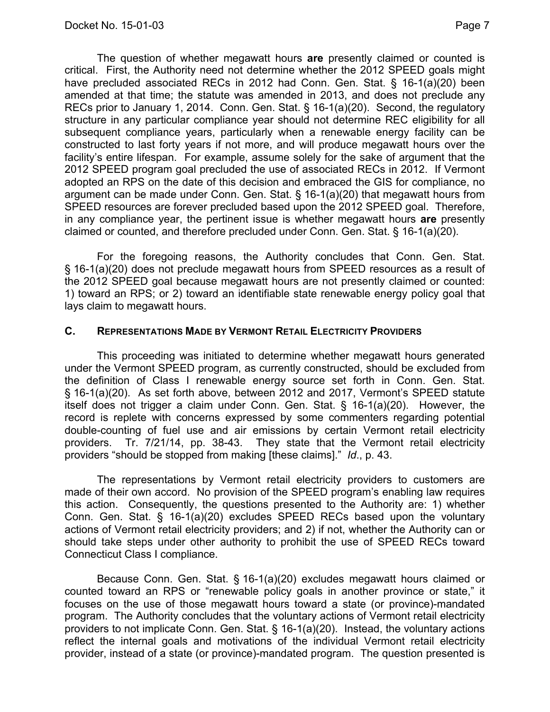The question of whether megawatt hours **are** presently claimed or counted is critical. First, the Authority need not determine whether the 2012 SPEED goals might have precluded associated RECs in 2012 had Conn. Gen. Stat. § 16-1(a)(20) been amended at that time; the statute was amended in 2013, and does not preclude any RECs prior to January 1, 2014. Conn. Gen. Stat. § 16-1(a)(20). Second, the regulatory structure in any particular compliance year should not determine REC eligibility for all subsequent compliance years, particularly when a renewable energy facility can be constructed to last forty years if not more, and will produce megawatt hours over the facility's entire lifespan. For example, assume solely for the sake of argument that the 2012 SPEED program goal precluded the use of associated RECs in 2012. If Vermont adopted an RPS on the date of this decision and embraced the GIS for compliance, no argument can be made under Conn. Gen. Stat. § 16-1(a)(20) that megawatt hours from SPEED resources are forever precluded based upon the 2012 SPEED goal. Therefore, in any compliance year, the pertinent issue is whether megawatt hours **are** presently claimed or counted, and therefore precluded under Conn. Gen. Stat. § 16-1(a)(20).

For the foregoing reasons, the Authority concludes that Conn. Gen. Stat. § 16-1(a)(20) does not preclude megawatt hours from SPEED resources as a result of the 2012 SPEED goal because megawatt hours are not presently claimed or counted: 1) toward an RPS; or 2) toward an identifiable state renewable energy policy goal that lays claim to megawatt hours.

## **C. REPRESENTATIONS MADE BY VERMONT RETAIL ELECTRICITY PROVIDERS**

This proceeding was initiated to determine whether megawatt hours generated under the Vermont SPEED program, as currently constructed, should be excluded from the definition of Class I renewable energy source set forth in Conn. Gen. Stat. § 16-1(a)(20). As set forth above, between 2012 and 2017, Vermont's SPEED statute itself does not trigger a claim under Conn. Gen. Stat. § 16-1(a)(20). However, the record is replete with concerns expressed by some commenters regarding potential double-counting of fuel use and air emissions by certain Vermont retail electricity providers. Tr. 7/21/14, pp. 38-43. They state that the Vermont retail electricity providers "should be stopped from making [these claims]." *Id*., p. 43.

The representations by Vermont retail electricity providers to customers are made of their own accord. No provision of the SPEED program's enabling law requires this action. Consequently, the questions presented to the Authority are: 1) whether Conn. Gen. Stat. § 16-1(a)(20) excludes SPEED RECs based upon the voluntary actions of Vermont retail electricity providers; and 2) if not, whether the Authority can or should take steps under other authority to prohibit the use of SPEED RECs toward Connecticut Class I compliance.

Because Conn. Gen. Stat. § 16-1(a)(20) excludes megawatt hours claimed or counted toward an RPS or "renewable policy goals in another province or state," it focuses on the use of those megawatt hours toward a state (or province)-mandated program. The Authority concludes that the voluntary actions of Vermont retail electricity providers to not implicate Conn. Gen. Stat. § 16-1(a)(20). Instead, the voluntary actions reflect the internal goals and motivations of the individual Vermont retail electricity provider, instead of a state (or province)-mandated program. The question presented is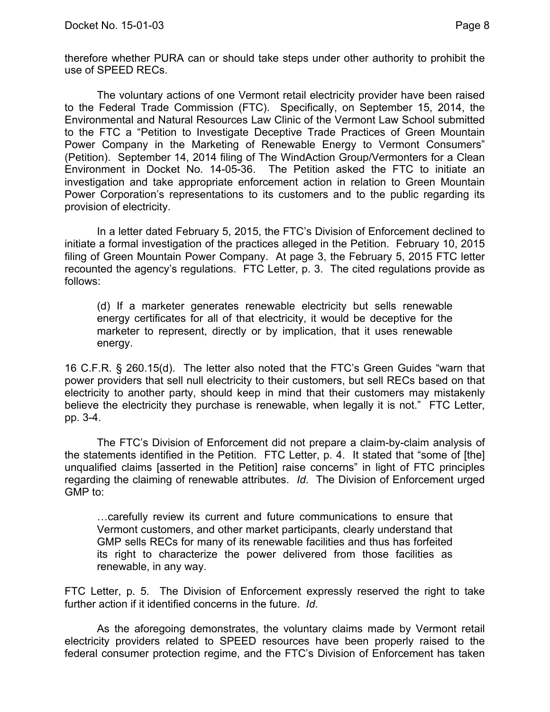therefore whether PURA can or should take steps under other authority to prohibit the use of SPEED RECs.

The voluntary actions of one Vermont retail electricity provider have been raised to the Federal Trade Commission (FTC). Specifically, on September 15, 2014, the Environmental and Natural Resources Law Clinic of the Vermont Law School submitted to the FTC a "Petition to Investigate Deceptive Trade Practices of Green Mountain Power Company in the Marketing of Renewable Energy to Vermont Consumers" (Petition). September 14, 2014 filing of The WindAction Group/Vermonters for a Clean Environment in Docket No. 14-05-36. The Petition asked the FTC to initiate an investigation and take appropriate enforcement action in relation to Green Mountain Power Corporation's representations to its customers and to the public regarding its provision of electricity.

In a letter dated February 5, 2015, the FTC's Division of Enforcement declined to initiate a formal investigation of the practices alleged in the Petition. February 10, 2015 filing of Green Mountain Power Company. At page 3, the February 5, 2015 FTC letter recounted the agency's regulations. FTC Letter, p. 3. The cited regulations provide as follows:

(d) If a marketer generates renewable electricity but sells renewable energy certificates for all of that electricity, it would be deceptive for the marketer to represent, directly or by implication, that it uses renewable energy.

16 C.F.R. § 260.15(d). The letter also noted that the FTC's Green Guides "warn that power providers that sell null electricity to their customers, but sell RECs based on that electricity to another party, should keep in mind that their customers may mistakenly believe the electricity they purchase is renewable, when legally it is not." FTC Letter, pp. 3-4.

The FTC's Division of Enforcement did not prepare a claim-by-claim analysis of the statements identified in the Petition. FTC Letter, p. 4. It stated that "some of [the] unqualified claims [asserted in the Petition] raise concerns" in light of FTC principles regarding the claiming of renewable attributes. *Id*. The Division of Enforcement urged GMP to:

…carefully review its current and future communications to ensure that Vermont customers, and other market participants, clearly understand that GMP sells RECs for many of its renewable facilities and thus has forfeited its right to characterize the power delivered from those facilities as renewable, in any way.

FTC Letter, p. 5. The Division of Enforcement expressly reserved the right to take further action if it identified concerns in the future. *Id*.

As the aforegoing demonstrates, the voluntary claims made by Vermont retail electricity providers related to SPEED resources have been properly raised to the federal consumer protection regime, and the FTC's Division of Enforcement has taken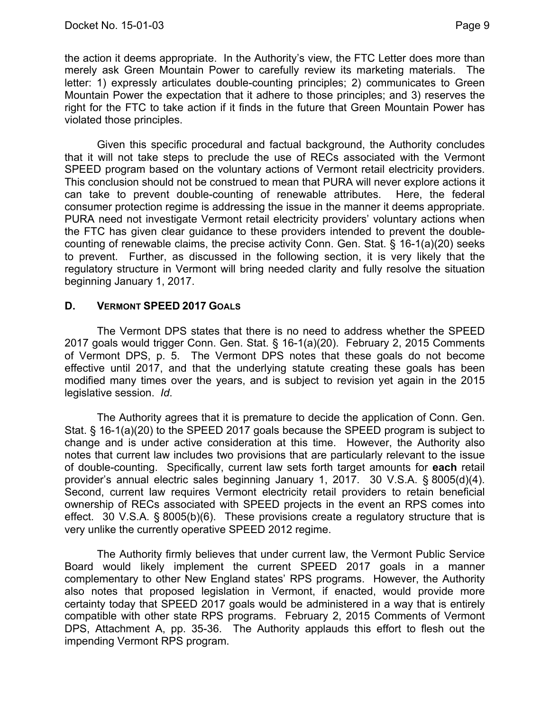the action it deems appropriate. In the Authority's view, the FTC Letter does more than merely ask Green Mountain Power to carefully review its marketing materials. The letter: 1) expressly articulates double-counting principles; 2) communicates to Green Mountain Power the expectation that it adhere to those principles; and 3) reserves the right for the FTC to take action if it finds in the future that Green Mountain Power has violated those principles.

Given this specific procedural and factual background, the Authority concludes that it will not take steps to preclude the use of RECs associated with the Vermont SPEED program based on the voluntary actions of Vermont retail electricity providers. This conclusion should not be construed to mean that PURA will never explore actions it can take to prevent double-counting of renewable attributes. Here, the federal consumer protection regime is addressing the issue in the manner it deems appropriate. PURA need not investigate Vermont retail electricity providers' voluntary actions when the FTC has given clear guidance to these providers intended to prevent the doublecounting of renewable claims, the precise activity Conn. Gen. Stat. § 16-1(a)(20) seeks to prevent. Further, as discussed in the following section, it is very likely that the regulatory structure in Vermont will bring needed clarity and fully resolve the situation beginning January 1, 2017.

## **D. VERMONT SPEED 2017 GOALS**

The Vermont DPS states that there is no need to address whether the SPEED 2017 goals would trigger Conn. Gen. Stat. § 16-1(a)(20). February 2, 2015 Comments of Vermont DPS, p. 5. The Vermont DPS notes that these goals do not become effective until 2017, and that the underlying statute creating these goals has been modified many times over the years, and is subject to revision yet again in the 2015 legislative session. *Id*.

The Authority agrees that it is premature to decide the application of Conn. Gen. Stat. § 16-1(a)(20) to the SPEED 2017 goals because the SPEED program is subject to change and is under active consideration at this time. However, the Authority also notes that current law includes two provisions that are particularly relevant to the issue of double-counting. Specifically, current law sets forth target amounts for **each** retail provider's annual electric sales beginning January 1, 2017. 30 V.S.A. § 8005(d)(4). Second, current law requires Vermont electricity retail providers to retain beneficial ownership of RECs associated with SPEED projects in the event an RPS comes into effect. 30 V.S.A. § 8005(b)(6). These provisions create a regulatory structure that is very unlike the currently operative SPEED 2012 regime.

The Authority firmly believes that under current law, the Vermont Public Service Board would likely implement the current SPEED 2017 goals in a manner complementary to other New England states' RPS programs. However, the Authority also notes that proposed legislation in Vermont, if enacted, would provide more certainty today that SPEED 2017 goals would be administered in a way that is entirely compatible with other state RPS programs. February 2, 2015 Comments of Vermont DPS, Attachment A, pp. 35-36. The Authority applauds this effort to flesh out the impending Vermont RPS program.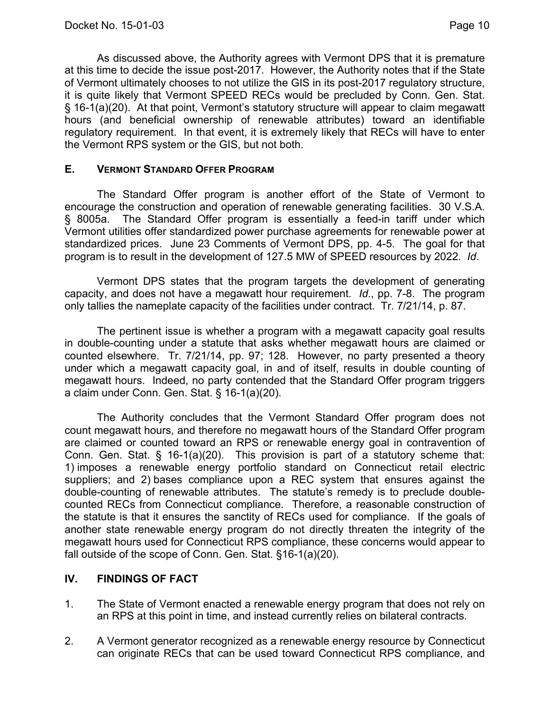As discussed above, the Authority agrees with Vermont DPS that it is premature at this time to decide the issue post-2017. However, the Authority notes that if the State of Vermont ultimately chooses to not utilize the GIS in its post-2017 regulatory structure, it is quite likely that Vermont SPEED RECs would be precluded by Conn. Gen. Stat. § 16-1(a)(20). At that point, Vermont's statutory structure will appear to claim megawatt hours (and beneficial ownership of renewable attributes) toward an identifiable regulatory requirement. In that event, it is extremely likely that RECs will have to enter the Vermont RPS system or the GIS, but not both.

## **E. VERMONT STANDARD OFFER PROGRAM**

The Standard Offer program is another effort of the State of Vermont to encourage the construction and operation of renewable generating facilities. 30 V.S.A. § 8005a. The Standard Offer program is essentially a feed-in tariff under which Vermont utilities offer standardized power purchase agreements for renewable power at standardized prices. June 23 Comments of Vermont DPS, pp. 4-5. The goal for that program is to result in the development of 127.5 MW of SPEED resources by 2022. *Id*.

Vermont DPS states that the program targets the development of generating capacity, and does not have a megawatt hour requirement. *Id*., pp. 7-8. The program only tallies the nameplate capacity of the facilities under contract. Tr. 7/21/14, p. 87.

The pertinent issue is whether a program with a megawatt capacity goal results in double-counting under a statute that asks whether megawatt hours are claimed or counted elsewhere. Tr. 7/21/14, pp. 97; 128. However, no party presented a theory under which a megawatt capacity goal, in and of itself, results in double counting of megawatt hours. Indeed, no party contended that the Standard Offer program triggers a claim under Conn. Gen. Stat. § 16-1(a)(20).

The Authority concludes that the Vermont Standard Offer program does not count megawatt hours, and therefore no megawatt hours of the Standard Offer program are claimed or counted toward an RPS or renewable energy goal in contravention of Conn. Gen. Stat. § 16-1(a)(20). This provision is part of a statutory scheme that: 1) imposes a renewable energy portfolio standard on Connecticut retail electric suppliers; and 2) bases compliance upon a REC system that ensures against the double-counting of renewable attributes. The statute's remedy is to preclude doublecounted RECs from Connecticut compliance. Therefore, a reasonable construction of the statute is that it ensures the sanctity of RECs used for compliance. If the goals of another state renewable energy program do not directly threaten the integrity of the megawatt hours used for Connecticut RPS compliance, these concerns would appear to fall outside of the scope of Conn. Gen. Stat. §16-1(a)(20).

## **IV. FINDINGS OF FACT**

- 1. The State of Vermont enacted a renewable energy program that does not rely on an RPS at this point in time, and instead currently relies on bilateral contracts.
- 2. A Vermont generator recognized as a renewable energy resource by Connecticut can originate RECs that can be used toward Connecticut RPS compliance, and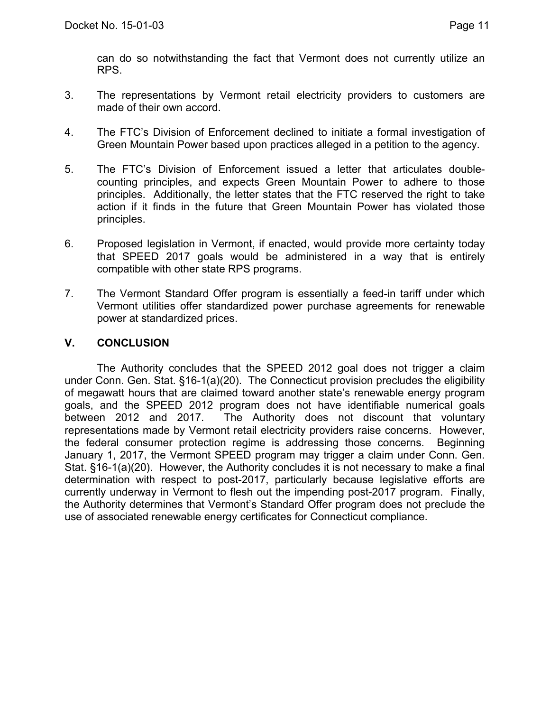can do so notwithstanding the fact that Vermont does not currently utilize an RPS.

- 3. The representations by Vermont retail electricity providers to customers are made of their own accord.
- 4. The FTC's Division of Enforcement declined to initiate a formal investigation of Green Mountain Power based upon practices alleged in a petition to the agency.
- 5. The FTC's Division of Enforcement issued a letter that articulates doublecounting principles, and expects Green Mountain Power to adhere to those principles. Additionally, the letter states that the FTC reserved the right to take action if it finds in the future that Green Mountain Power has violated those principles.
- 6. Proposed legislation in Vermont, if enacted, would provide more certainty today that SPEED 2017 goals would be administered in a way that is entirely compatible with other state RPS programs.
- 7. The Vermont Standard Offer program is essentially a feed-in tariff under which Vermont utilities offer standardized power purchase agreements for renewable power at standardized prices.

## **V. CONCLUSION**

The Authority concludes that the SPEED 2012 goal does not trigger a claim under Conn. Gen. Stat. §16-1(a)(20). The Connecticut provision precludes the eligibility of megawatt hours that are claimed toward another state's renewable energy program goals, and the SPEED 2012 program does not have identifiable numerical goals between 2012 and 2017. The Authority does not discount that voluntary representations made by Vermont retail electricity providers raise concerns. However, the federal consumer protection regime is addressing those concerns. Beginning January 1, 2017, the Vermont SPEED program may trigger a claim under Conn. Gen. Stat. §16-1(a)(20). However, the Authority concludes it is not necessary to make a final determination with respect to post-2017, particularly because legislative efforts are currently underway in Vermont to flesh out the impending post-2017 program. Finally, the Authority determines that Vermont's Standard Offer program does not preclude the use of associated renewable energy certificates for Connecticut compliance.